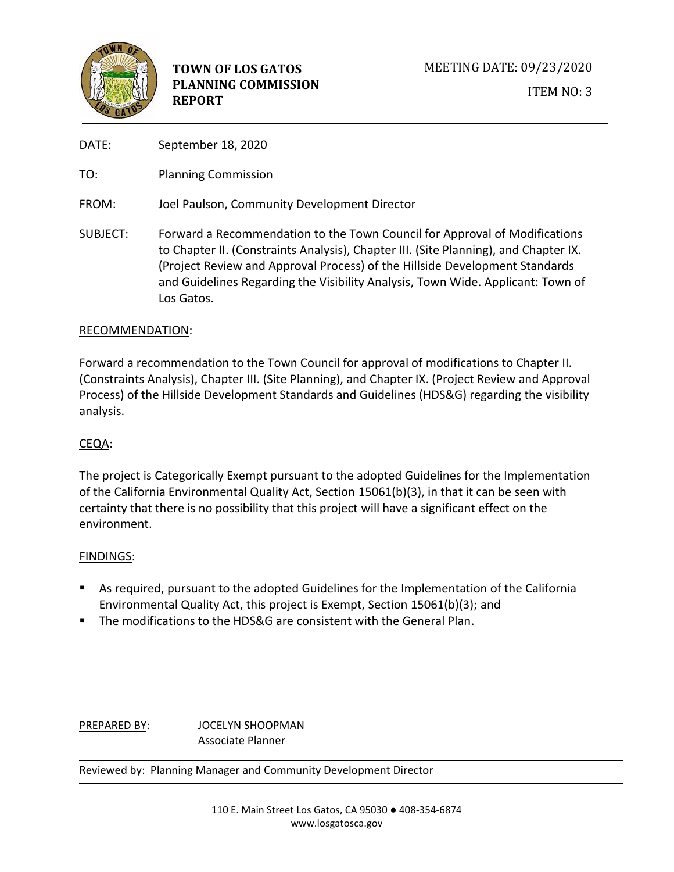

DATE: September 18, 2020

TO: Planning Commission

FROM: Joel Paulson, Community Development Director

SUBJECT: Forward a Recommendation to the Town Council for Approval of Modifications to Chapter II. (Constraints Analysis), Chapter III. (Site Planning), and Chapter IX. (Project Review and Approval Process) of the Hillside Development Standards and Guidelines Regarding the Visibility Analysis, Town Wide. Applicant: Town of Los Gatos.

# RECOMMENDATION:

Forward a recommendation to the Town Council for approval of modifications to Chapter II. (Constraints Analysis), Chapter III. (Site Planning), and Chapter IX. (Project Review and Approval Process) of the Hillside Development Standards and Guidelines (HDS&G) regarding the visibility analysis.

# CEQA:

The project is Categorically Exempt pursuant to the adopted Guidelines for the Implementation of the California Environmental Quality Act, Section 15061(b)(3), in that it can be seen with certainty that there is no possibility that this project will have a significant effect on the environment.

# FINDINGS:

- As required, pursuant to the adopted Guidelines for the Implementation of the California Environmental Quality Act, this project is Exempt, Section 15061(b)(3); and
- The modifications to the HDS&G are consistent with the General Plan.

PREPARED BY: JOCELYN SHOOPMAN Associate Planner

Reviewed by: Planning Manager and Community Development Director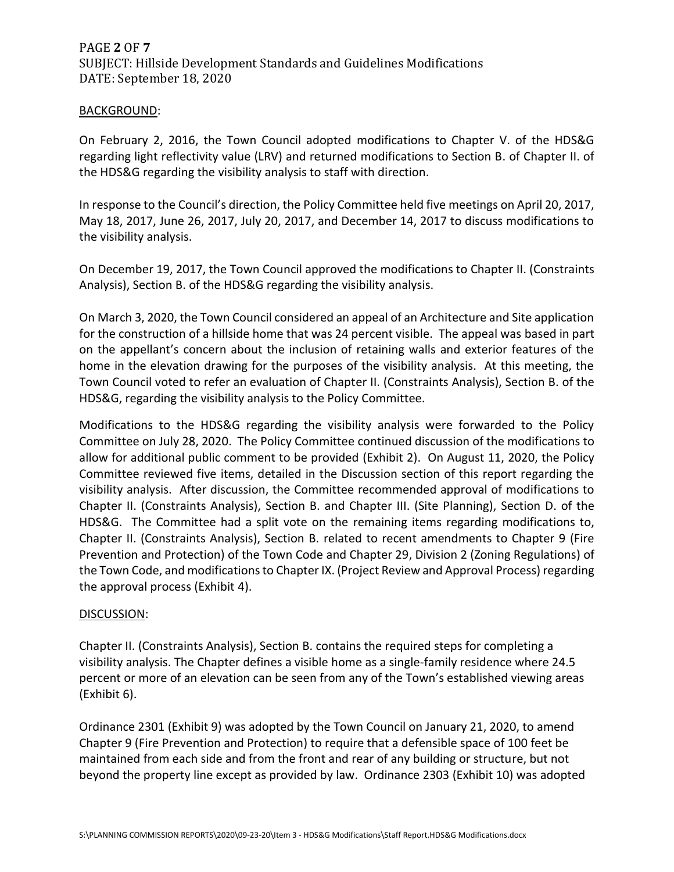# PAGE **2** OF **7** SUBJECT: Hillside Development Standards and Guidelines Modifications DATE: September 18, 2020

### BACKGROUND:

On February 2, 2016, the Town Council adopted modifications to Chapter V. of the HDS&G regarding light reflectivity value (LRV) and returned modifications to Section B. of Chapter II. of the HDS&G regarding the visibility analysis to staff with direction.

In response to the Council's direction, the Policy Committee held five meetings on April 20, 2017, May 18, 2017, June 26, 2017, July 20, 2017, and December 14, 2017 to discuss modifications to the visibility analysis.

On December 19, 2017, the Town Council approved the modifications to Chapter II. (Constraints Analysis), Section B. of the HDS&G regarding the visibility analysis.

On March 3, 2020, the Town Council considered an appeal of an Architecture and Site application for the construction of a hillside home that was 24 percent visible. The appeal was based in part on the appellant's concern about the inclusion of retaining walls and exterior features of the home in the elevation drawing for the purposes of the visibility analysis. At this meeting, the Town Council voted to refer an evaluation of Chapter II. (Constraints Analysis), Section B. of the HDS&G, regarding the visibility analysis to the Policy Committee.

Modifications to the HDS&G regarding the visibility analysis were forwarded to the Policy Committee on July 28, 2020. The Policy Committee continued discussion of the modifications to allow for additional public comment to be provided (Exhibit 2). On August 11, 2020, the Policy Committee reviewed five items, detailed in the Discussion section of this report regarding the visibility analysis. After discussion, the Committee recommended approval of modifications to Chapter II. (Constraints Analysis), Section B. and Chapter III. (Site Planning), Section D. of the HDS&G. The Committee had a split vote on the remaining items regarding modifications to, Chapter II. (Constraints Analysis), Section B. related to recent amendments to Chapter 9 (Fire Prevention and Protection) of the Town Code and Chapter 29, Division 2 (Zoning Regulations) of the Town Code, and modifications to Chapter IX. (Project Review and Approval Process) regarding the approval process (Exhibit 4).

### DISCUSSION:

Chapter II. (Constraints Analysis), Section B. contains the required steps for completing a visibility analysis. The Chapter defines a visible home as a single-family residence where 24.5 percent or more of an elevation can be seen from any of the Town's established viewing areas (Exhibit 6).

Ordinance 2301 (Exhibit 9) was adopted by the Town Council on January 21, 2020, to amend Chapter 9 (Fire Prevention and Protection) to require that a defensible space of 100 feet be maintained from each side and from the front and rear of any building or structure, but not beyond the property line except as provided by law. Ordinance 2303 (Exhibit 10) was adopted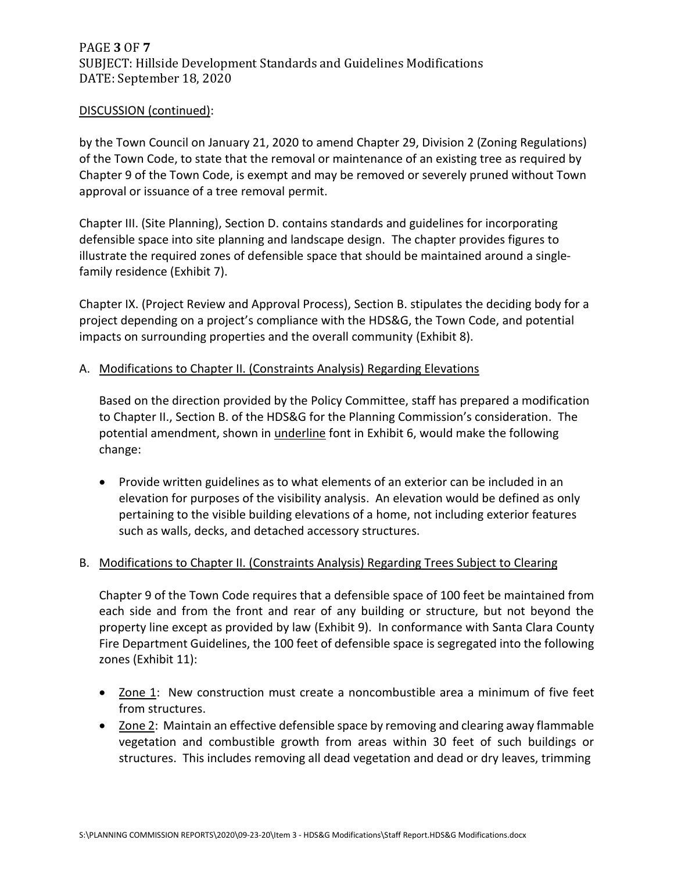# PAGE **3** OF **7** SUBJECT: Hillside Development Standards and Guidelines Modifications DATE: September 18, 2020

## DISCUSSION (continued):

by the Town Council on January 21, 2020 to amend Chapter 29, Division 2 (Zoning Regulations) of the Town Code, to state that the removal or maintenance of an existing tree as required by Chapter 9 of the Town Code, is exempt and may be removed or severely pruned without Town approval or issuance of a tree removal permit.

Chapter III. (Site Planning), Section D. contains standards and guidelines for incorporating defensible space into site planning and landscape design. The chapter provides figures to illustrate the required zones of defensible space that should be maintained around a singlefamily residence (Exhibit 7).

Chapter IX. (Project Review and Approval Process), Section B. stipulates the deciding body for a project depending on a project's compliance with the HDS&G, the Town Code, and potential impacts on surrounding properties and the overall community (Exhibit 8).

## A. Modifications to Chapter II. (Constraints Analysis) Regarding Elevations

Based on the direction provided by the Policy Committee, staff has prepared a modification to Chapter II., Section B. of the HDS&G for the Planning Commission's consideration. The potential amendment, shown in *underline* font in Exhibit 6, would make the following change:

• Provide written guidelines as to what elements of an exterior can be included in an elevation for purposes of the visibility analysis. An elevation would be defined as only pertaining to the visible building elevations of a home, not including exterior features such as walls, decks, and detached accessory structures.

# B. Modifications to Chapter II. (Constraints Analysis) Regarding Trees Subject to Clearing

Chapter 9 of the Town Code requires that a defensible space of 100 feet be maintained from each side and from the front and rear of any building or structure, but not beyond the property line except as provided by law (Exhibit 9). In conformance with Santa Clara County Fire Department Guidelines, the 100 feet of defensible space is segregated into the following zones (Exhibit 11):

- Zone 1: New construction must create a noncombustible area a minimum of five feet from structures.
- Zone 2: Maintain an effective defensible space by removing and clearing away flammable vegetation and combustible growth from areas within 30 feet of such buildings or structures. This includes removing all dead vegetation and dead or dry leaves, trimming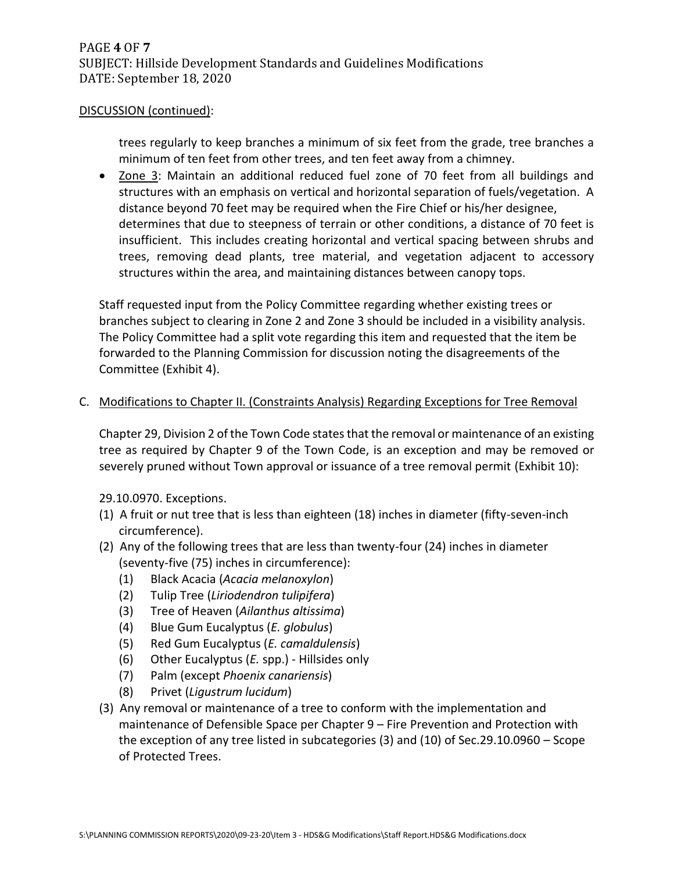### DISCUSSION (continued):

trees regularly to keep branches a minimum of six feet from the grade, tree branches a minimum of ten feet from other trees, and ten feet away from a chimney.

• Zone 3: Maintain an additional reduced fuel zone of 70 feet from all buildings and structures with an emphasis on vertical and horizontal separation of fuels/vegetation. A distance beyond 70 feet may be required when the Fire Chief or his/her designee, determines that due to steepness of terrain or other conditions, a distance of 70 feet is insufficient. This includes creating horizontal and vertical spacing between shrubs and trees, removing dead plants, tree material, and vegetation adjacent to accessory structures within the area, and maintaining distances between canopy tops.

Staff requested input from the Policy Committee regarding whether existing trees or branches subject to clearing in Zone 2 and Zone 3 should be included in a visibility analysis. The Policy Committee had a split vote regarding this item and requested that the item be forwarded to the Planning Commission for discussion noting the disagreements of the Committee (Exhibit 4).

## C. Modifications to Chapter II. (Constraints Analysis) Regarding Exceptions for Tree Removal

Chapter 29, Division 2 of the Town Code states that the removal or maintenance of an existing tree as required by Chapter 9 of the Town Code, is an exception and may be removed or severely pruned without Town approval or issuance of a tree removal permit (Exhibit 10):

29.10.0970. Exceptions.

- (1) A fruit or nut tree that is less than eighteen (18) inches in diameter (fifty-seven-inch circumference).
- (2) Any of the following trees that are less than twenty-four (24) inches in diameter (seventy-five (75) inches in circumference):
	- (1) Black Acacia (*Acacia melanoxylon*)
	- (2) Tulip Tree (*Liriodendron tulipifera*)
	- (3) Tree of Heaven (*Ailanthus altissima*)
	- (4) Blue Gum Eucalyptus (*E. globulus*)
	- (5) Red Gum Eucalyptus (*E. camaldulensis*)
	- (6) Other Eucalyptus (*E.* spp.) Hillsides only
	- (7) Palm (except *Phoenix canariensis*)
	- (8) Privet (*Ligustrum lucidum*)
- (3) Any removal or maintenance of a tree to conform with the implementation and maintenance of Defensible Space per Chapter 9 – Fire Prevention and Protection with the exception of any tree listed in subcategories (3) and (10) of Sec.29.10.0960 – Scope of Protected Trees.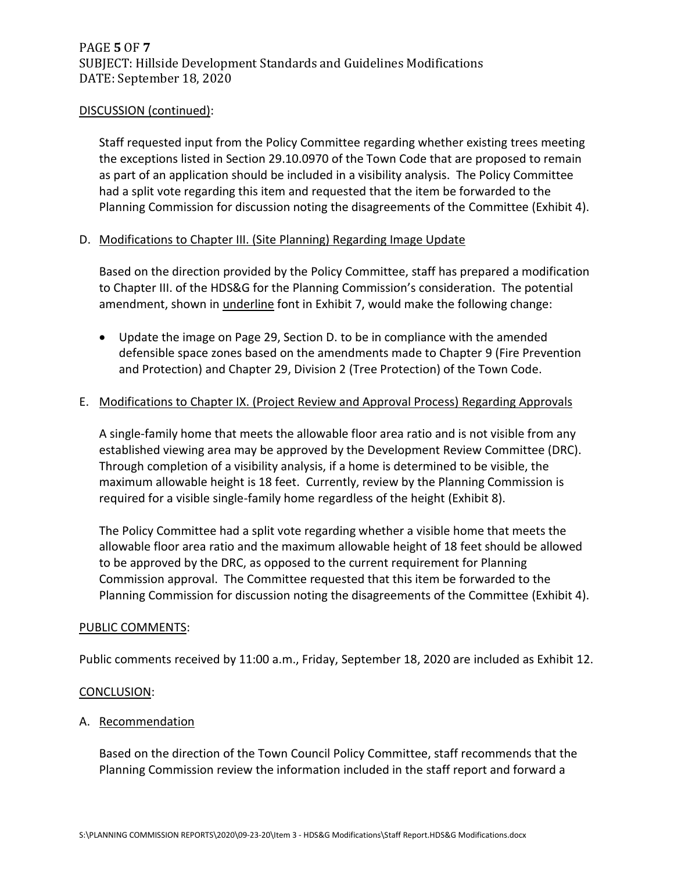### DISCUSSION (continued):

Staff requested input from the Policy Committee regarding whether existing trees meeting the exceptions listed in Section 29.10.0970 of the Town Code that are proposed to remain as part of an application should be included in a visibility analysis. The Policy Committee had a split vote regarding this item and requested that the item be forwarded to the Planning Commission for discussion noting the disagreements of the Committee (Exhibit 4).

## D. Modifications to Chapter III. (Site Planning) Regarding Image Update

Based on the direction provided by the Policy Committee, staff has prepared a modification to Chapter III. of the HDS&G for the Planning Commission's consideration. The potential amendment, shown in *underline* font in Exhibit 7, would make the following change:

• Update the image on Page 29, Section D. to be in compliance with the amended defensible space zones based on the amendments made to Chapter 9 (Fire Prevention and Protection) and Chapter 29, Division 2 (Tree Protection) of the Town Code.

### E. Modifications to Chapter IX. (Project Review and Approval Process) Regarding Approvals

A single-family home that meets the allowable floor area ratio and is not visible from any established viewing area may be approved by the Development Review Committee (DRC). Through completion of a visibility analysis, if a home is determined to be visible, the maximum allowable height is 18 feet. Currently, review by the Planning Commission is required for a visible single-family home regardless of the height (Exhibit 8).

The Policy Committee had a split vote regarding whether a visible home that meets the allowable floor area ratio and the maximum allowable height of 18 feet should be allowed to be approved by the DRC, as opposed to the current requirement for Planning Commission approval. The Committee requested that this item be forwarded to the Planning Commission for discussion noting the disagreements of the Committee (Exhibit 4).

### PUBLIC COMMENTS:

Public comments received by 11:00 a.m., Friday, September 18, 2020 are included as Exhibit 12.

#### CONCLUSION:

### A. Recommendation

Based on the direction of the Town Council Policy Committee, staff recommends that the Planning Commission review the information included in the staff report and forward a